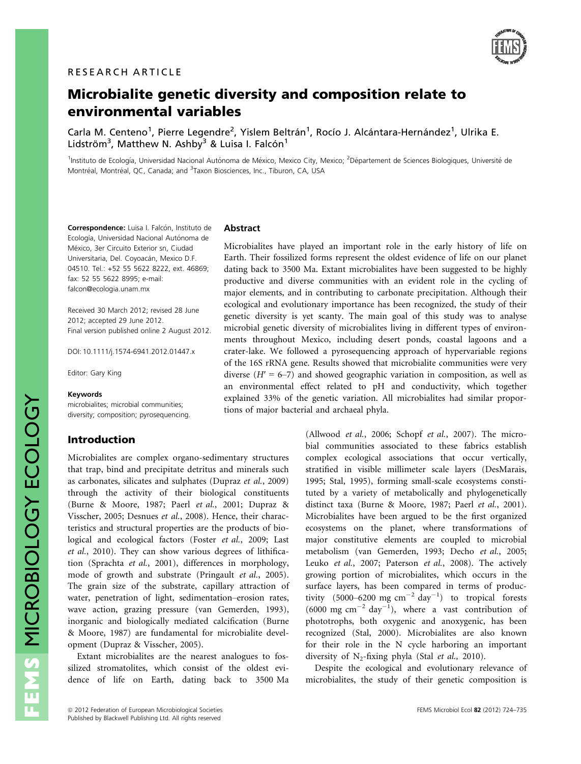

# Microbialite genetic diversity and composition relate to environmental variables

Carla M. Centeno<sup>1</sup>, Pierre Legendre<sup>2</sup>, Yislem Beltrán<sup>1</sup>, Rocío J. Alcántara-Hernández<sup>1</sup>, Ulrika E. Lidström<sup>3</sup>, Matthew N. Ashby<sup>3</sup> & Luisa I. Falcón<sup>1</sup>

<sup>1</sup>Instituto de Ecología, Universidad Nacional Autónoma de México, Mexico City, Mexico; <sup>2</sup>Département de Sciences Biologiques, Université de Montréal, Montréal, QC, Canada; and <sup>3</sup>Taxon Biosciences, Inc., Tiburon, CA, USA

Correspondence: Luisa I. Falcón, Instituto de Ecología, Universidad Nacional Autónoma de México, 3er Circuito Exterior sn, Ciudad Universitaria, Del. Coyoacán, Mexico D.F. 04510. Tel.: +52 55 5622 8222, ext. 46869; fax: 52 55 5622 8995; e-mail: falcon@ecologia.unam.mx

Received 30 March 2012; revised 28 June 2012; accepted 29 June 2012. Final version published online 2 August 2012.

DOI: 10.1111/j.1574-6941.2012.01447.x

Editor: Gary King

#### Keywords

microbialites; microbial communities; diversity; composition; pyrosequencing.

## Introduction

Microbialites are complex organo-sedimentary structures that trap, bind and precipitate detritus and minerals such as carbonates, silicates and sulphates (Dupraz et al., 2009) through the activity of their biological constituents (Burne & Moore, 1987; Paerl et al., 2001; Dupraz & Visscher, 2005; Desnues et al., 2008). Hence, their characteristics and structural properties are the products of biological and ecological factors (Foster et al., 2009; Last et al., 2010). They can show various degrees of lithification (Sprachta et al., 2001), differences in morphology, mode of growth and substrate (Pringault *et al.*, 2005). The grain size of the substrate, capillary attraction of water, penetration of light, sedimentation–erosion rates, wave action, grazing pressure (van Gemerden, 1993), inorganic and biologically mediated calcification (Burne & Moore, 1987) are fundamental for microbialite development (Dupraz & Visscher, 2005).

Extant microbialites are the nearest analogues to fossilized stromatolites, which consist of the oldest evidence of life on Earth, dating back to 3500 Ma

#### Abstract

Microbialites have played an important role in the early history of life on Earth. Their fossilized forms represent the oldest evidence of life on our planet dating back to 3500 Ma. Extant microbialites have been suggested to be highly productive and diverse communities with an evident role in the cycling of major elements, and in contributing to carbonate precipitation. Although their ecological and evolutionary importance has been recognized, the study of their genetic diversity is yet scanty. The main goal of this study was to analyse microbial genetic diversity of microbialites living in different types of environments throughout Mexico, including desert ponds, coastal lagoons and a crater-lake. We followed a pyrosequencing approach of hypervariable regions of the 16S rRNA gene. Results showed that microbialite communities were very diverse  $(H' = 6-7)$  and showed geographic variation in composition, as well as an environmental effect related to pH and conductivity, which together explained 33% of the genetic variation. All microbialites had similar proportions of major bacterial and archaeal phyla.

> (Allwood et al., 2006; Schopf et al., 2007). The microbial communities associated to these fabrics establish complex ecological associations that occur vertically, stratified in visible millimeter scale layers (DesMarais, 1995; Stal, 1995), forming small-scale ecosystems constituted by a variety of metabolically and phylogenetically distinct taxa (Burne & Moore, 1987; Paerl et al., 2001). Microbialites have been argued to be the first organized ecosystems on the planet, where transformations of major constitutive elements are coupled to microbial metabolism (van Gemerden, 1993; Decho et al., 2005; Leuko et al., 2007; Paterson et al., 2008). The actively growing portion of microbialites, which occurs in the surface layers, has been compared in terms of productivity (5000–6200 mg  $\text{cm}^{-2} \text{ day}^{-1}$ ) to tropical forests  $(6000 \text{ mg cm}^{-2} \text{ day}^{-1})$ , where a vast contribution of phototrophs, both oxygenic and anoxygenic, has been recognized (Stal, 2000). Microbialites are also known for their role in the N cycle harboring an important diversity of  $N_2$ -fixing phyla (Stal et al., 2010).

> Despite the ecological and evolutionary relevance of microbialites, the study of their genetic composition is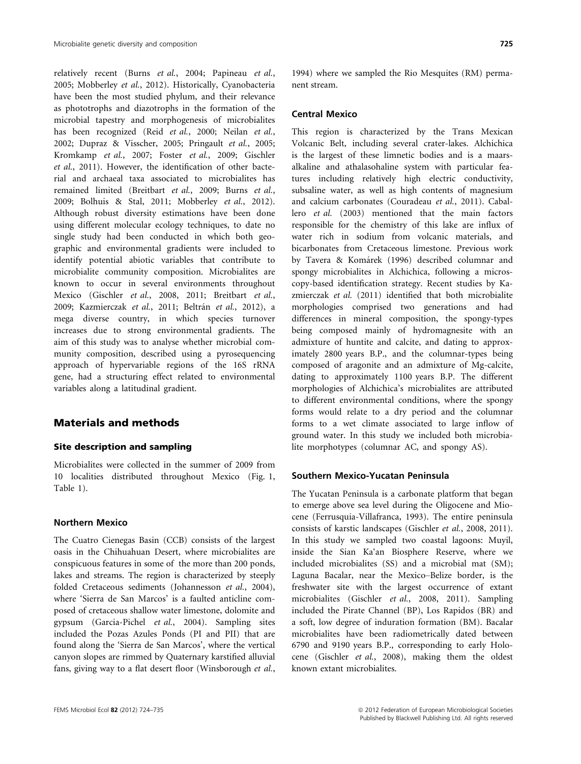relatively recent (Burns et al., 2004; Papineau et al., 2005; Mobberley et al., 2012). Historically, Cyanobacteria have been the most studied phylum, and their relevance as phototrophs and diazotrophs in the formation of the microbial tapestry and morphogenesis of microbialites has been recognized (Reid et al., 2000; Neilan et al., 2002; Dupraz & Visscher, 2005; Pringault et al., 2005; Kromkamp et al., 2007; Foster et al., 2009; Gischler et al., 2011). However, the identification of other bacterial and archaeal taxa associated to microbialites has remained limited (Breitbart et al., 2009; Burns et al., 2009; Bolhuis & Stal, 2011; Mobberley et al., 2012). Although robust diversity estimations have been done using different molecular ecology techniques, to date no single study had been conducted in which both geographic and environmental gradients were included to identify potential abiotic variables that contribute to microbialite community composition. Microbialites are known to occur in several environments throughout Mexico (Gischler et al., 2008, 2011; Breitbart et al., 2009; Kazmierczak et al., 2011; Beltrán et al., 2012), a mega diverse country, in which species turnover increases due to strong environmental gradients. The aim of this study was to analyse whether microbial community composition, described using a pyrosequencing approach of hypervariable regions of the 16S rRNA gene, had a structuring effect related to environmental variables along a latitudinal gradient.

## Materials and methods

## Site description and sampling

Microbialites were collected in the summer of 2009 from 10 localities distributed throughout Mexico (Fig. 1, Table 1).

#### Northern Mexico

The Cuatro Cienegas Basin (CCB) consists of the largest oasis in the Chihuahuan Desert, where microbialites are conspicuous features in some of the more than 200 ponds, lakes and streams. The region is characterized by steeply folded Cretaceous sediments (Johannesson et al., 2004), where 'Sierra de San Marcos' is a faulted anticline composed of cretaceous shallow water limestone, dolomite and gypsum (Garcia-Pichel et al., 2004). Sampling sites included the Pozas Azules Ponds (PI and PII) that are found along the 'Sierra de San Marcos', where the vertical canyon slopes are rimmed by Quaternary karstified alluvial fans, giving way to a flat desert floor (Winsborough et al.,

1994) where we sampled the Rio Mesquites (RM) permanent stream.

#### Central Mexico

This region is characterized by the Trans Mexican Volcanic Belt, including several crater-lakes. Alchichica is the largest of these limnetic bodies and is a maarsalkaline and athalasohaline system with particular features including relatively high electric conductivity, subsaline water, as well as high contents of magnesium and calcium carbonates (Couradeau et al., 2011). Caballero et al. (2003) mentioned that the main factors responsible for the chemistry of this lake are influx of water rich in sodium from volcanic materials, and bicarbonates from Cretaceous limestone. Previous work by Tavera & Komárek (1996) described columnar and spongy microbialites in Alchichica, following a microscopy-based identification strategy. Recent studies by Kazmierczak et al. (2011) identified that both microbialite morphologies comprised two generations and had differences in mineral composition, the spongy-types being composed mainly of hydromagnesite with an admixture of huntite and calcite, and dating to approximately 2800 years B.P., and the columnar-types being composed of aragonite and an admixture of Mg-calcite, dating to approximately 1100 years B.P. The different morphologies of Alchichica's microbialites are attributed to different environmental conditions, where the spongy forms would relate to a dry period and the columnar forms to a wet climate associated to large inflow of ground water. In this study we included both microbialite morphotypes (columnar AC, and spongy AS).

#### Southern Mexico-Yucatan Peninsula

The Yucatan Peninsula is a carbonate platform that began to emerge above sea level during the Oligocene and Miocene (Ferrusquia-Villafranca, 1993). The entire peninsula consists of karstic landscapes (Gischler et al., 2008, 2011). In this study we sampled two coastal lagoons: Muyil, inside the Sian Ka'an Biosphere Reserve, where we included microbialites (SS) and a microbial mat (SM); Laguna Bacalar, near the Mexico–Belize border, is the freshwater site with the largest occurrence of extant microbialites (Gischler et al., 2008, 2011). Sampling included the Pirate Channel (BP), Los Rapidos (BR) and a soft, low degree of induration formation (BM). Bacalar microbialites have been radiometrically dated between 6790 and 9190 years B.P., corresponding to early Holocene (Gischler et al., 2008), making them the oldest known extant microbialites.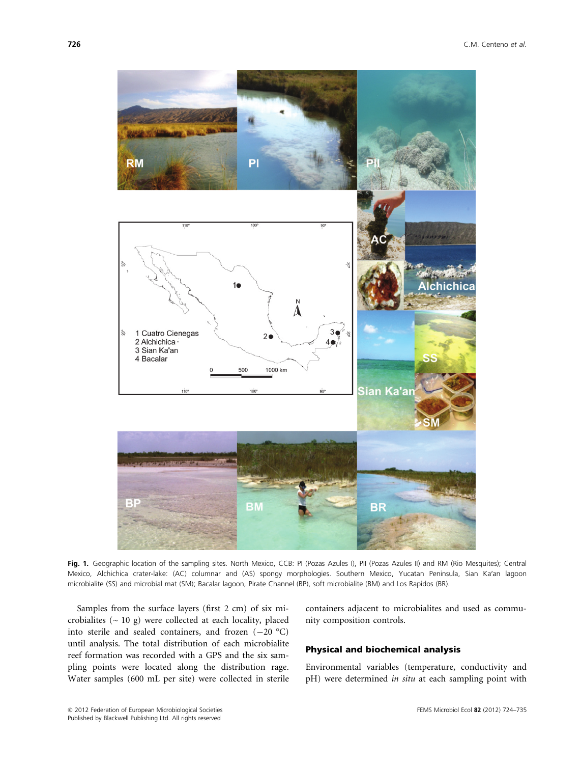

Fig. 1. Geographic location of the sampling sites. North Mexico, CCB: PI (Pozas Azules I), PII (Pozas Azules II) and RM (Rio Mesquites); Central Mexico, Alchichica crater-lake: (AC) columnar and (AS) spongy morphologies. Southern Mexico, Yucatan Peninsula, Sian Ka′an lagoon microbialite (SS) and microbial mat (SM); Bacalar lagoon, Pirate Channel (BP), soft microbialite (BM) and Los Rapidos (BR).

Samples from the surface layers (first 2 cm) of six microbialites  $($   $\sim$  10 g) were collected at each locality, placed into sterile and sealed containers, and frozen  $(-20 \degree C)$ until analysis. The total distribution of each microbialite reef formation was recorded with a GPS and the six sampling points were located along the distribution rage. Water samples (600 mL per site) were collected in sterile containers adjacent to microbialites and used as community composition controls.

## Physical and biochemical analysis

Environmental variables (temperature, conductivity and pH) were determined in situ at each sampling point with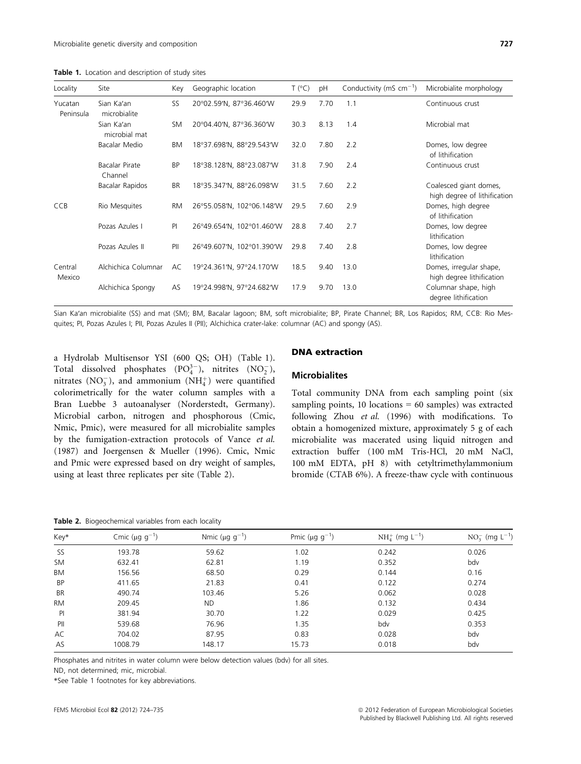Table 1. Location and description of study sites

| Locality             | Site                        | Key       | Geographic location       | T (°C) | pH   | Conductivity (mS $cm^{-1}$ ) | Microbialite morphology                                |
|----------------------|-----------------------------|-----------|---------------------------|--------|------|------------------------------|--------------------------------------------------------|
| Yucatan<br>Peninsula | Sian Ka'an<br>microbialite  | SS        | 20°02.59'N, 87°36.460'W   | 29.9   | 7.70 | 1.1                          | Continuous crust                                       |
|                      | Sian Ka'an<br>microbial mat | <b>SM</b> | 20°04.40'N, 87°36.360'W   | 30.3   | 8.13 | 1.4                          | Microbial mat                                          |
|                      | Bacalar Medio               | ΒM        | 18°37.698'N, 88°29.543'W  | 32.0   | 7.80 | 2.2                          | Domes, low degree<br>of lithification                  |
|                      | Bacalar Pirate<br>Channel   | <b>BP</b> | 18°38.128'N, 88°23.087'W  | 31.8   | 7.90 | 2.4                          | Continuous crust                                       |
|                      | Bacalar Rapidos             | BR        | 18°35.347'N, 88°26.098'W  | 31.5   | 7.60 | 2.2                          | Coalesced giant domes,<br>high degree of lithification |
| <b>CCB</b>           | Rio Mesquites               | RM        | 26°55.058'N, 102°06.148'W | 29.5   | 7.60 | 2.9                          | Domes, high degree<br>of lithification                 |
|                      | Pozas Azules I              | PI        | 26°49.654'N, 102°01.460'W | 28.8   | 7.40 | 2.7                          | Domes, low degree<br>lithification                     |
|                      | Pozas Azules II             | PII       | 26°49.607'N, 102°01.390'W | 29.8   | 7.40 | 2.8                          | Domes, low degree<br>lithification                     |
| Central<br>Mexico    | Alchichica Columnar         | AC        | 19°24.361'N, 97°24.170'W  | 18.5   | 9.40 | 13.0                         | Domes, irregular shape,<br>high degree lithification   |
|                      | Alchichica Spongy           | AS        | 19°24.998'N, 97°24.682'W  | 17.9   | 9.70 | 13.0                         | Columnar shape, high<br>degree lithification           |

Sian Ka′an microbialite (SS) and mat (SM); BM, Bacalar lagoon; BM, soft microbialite; BP, Pirate Channel; BR, Los Rapidos; RM, CCB: Rio Mesquites; PI, Pozas Azules I; PII, Pozas Azules II (PII); Alchichica crater-lake: columnar (AC) and spongy (AS).

a Hydrolab Multisensor YSI (600 QS; OH) (Table 1). Total dissolved phosphates  $(PO_4^{3-})$ , nitrites  $(NO_2^-)$ , nitrates  $(\text{NO}_3^-)$ , and ammonium  $(\text{NH}_4^+)$  were quantified colorimetrically for the water column samples with a Bran Luebbe 3 autoanalyser (Norderstedt, Germany). Microbial carbon, nitrogen and phosphorous (Cmic, Nmic, Pmic), were measured for all microbialite samples by the fumigation-extraction protocols of Vance et al. (1987) and Joergensen & Mueller (1996). Cmic, Nmic and Pmic were expressed based on dry weight of samples, using at least three replicates per site (Table 2).

## DNA extraction

#### **Microbialites**

Total community DNA from each sampling point (six sampling points, 10 locations  $= 60$  samples) was extracted following Zhou et al. (1996) with modifications. To obtain a homogenized mixture, approximately 5 g of each microbialite was macerated using liquid nitrogen and extraction buffer (100 mM Tris-HCl, 20 mM NaCl, 100 mM EDTA, pH 8) with cetyltrimethylammonium bromide (CTAB 6%). A freeze-thaw cycle with continuous

Table 2. Biogeochemical variables from each locality

| Key*      | Cmic ( $\mu$ g g <sup>-1</sup> ) | Nmic ( $\mu$ g g <sup>-1</sup> ) | Pmic ( $\mu$ g g <sup>-1</sup> ) | $NH_4^+$ (mg $L^{-1}$ ) | $NO_3^-$ (mg $L^{-1}$ ) |
|-----------|----------------------------------|----------------------------------|----------------------------------|-------------------------|-------------------------|
| <b>SS</b> | 193.78                           | 59.62                            | 1.02                             | 0.242                   | 0.026                   |
| <b>SM</b> | 632.41                           | 62.81                            | 1.19                             | 0.352                   | bdv                     |
| BM        | 156.56                           | 68.50                            | 0.29                             | 0.144                   | 0.16                    |
| <b>BP</b> | 411.65                           | 21.83                            | 0.41                             | 0.122                   | 0.274                   |
| <b>BR</b> | 490.74                           | 103.46                           | 5.26                             | 0.062                   | 0.028                   |
| <b>RM</b> | 209.45                           | <b>ND</b>                        | 1.86                             | 0.132                   | 0.434                   |
| P         | 381.94                           | 30.70                            | 1.22                             | 0.029                   | 0.425                   |
| PII       | 539.68                           | 76.96                            | 1.35                             | bdv                     | 0.353                   |
| AC        | 704.02                           | 87.95                            | 0.83                             | 0.028                   | bdv                     |
| AS        | 1008.79                          | 148.17                           | 15.73                            | 0.018                   | bdv                     |
|           |                                  |                                  |                                  |                         |                         |

Phosphates and nitrites in water column were below detection values (bdv) for all sites.

ND, not determined; mic, microbial.

\*See Table 1 footnotes for key abbreviations.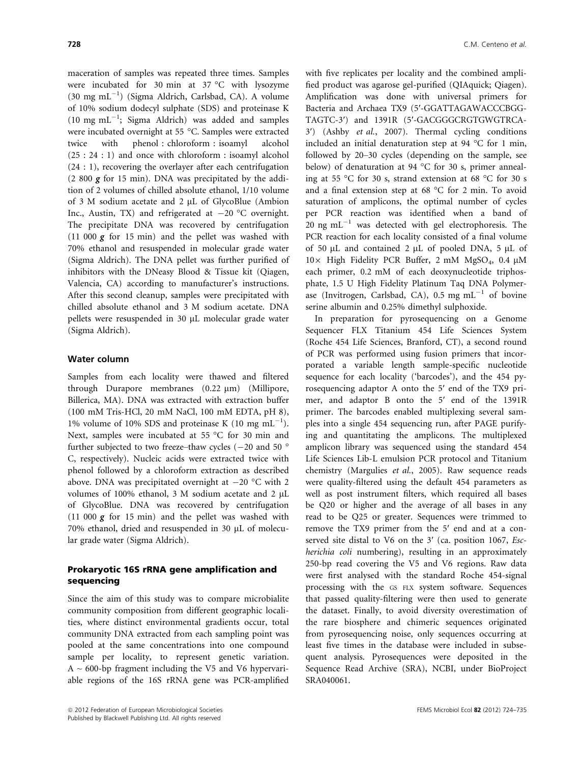maceration of samples was repeated three times. Samples were incubated for 30 min at 37 °C with lysozyme (30 mg mL<sup>-1</sup>) (Sigma Aldrich, Carlsbad, CA). A volume of 10% sodium dodecyl sulphate (SDS) and proteinase K  $(10 \text{ mg } \text{mL}^{-1}$ ; Sigma Aldrich) was added and samples were incubated overnight at 55 °C. Samples were extracted twice with phenol : chloroform : isoamyl alcohol (25 : 24 : 1) and once with chloroform : isoamyl alcohol (24 : 1), recovering the overlayer after each centrifugation (2 800 g for 15 min). DNA was precipitated by the addition of 2 volumes of chilled absolute ethanol, 1/10 volume of 3 M sodium acetate and 2 µL of GlycoBlue (Ambion Inc., Austin, TX) and refrigerated at  $-20$  °C overnight. The precipitate DNA was recovered by centrifugation (11 000  $g$  for 15 min) and the pellet was washed with 70% ethanol and resuspended in molecular grade water (Sigma Aldrich). The DNA pellet was further purified of inhibitors with the DNeasy Blood & Tissue kit (Qiagen, Valencia, CA) according to manufacturer's instructions. After this second cleanup, samples were precipitated with chilled absolute ethanol and 3 M sodium acetate. DNA pellets were resuspended in 30 µL molecular grade water (Sigma Aldrich).

## Water column

Samples from each locality were thawed and filtered through Durapore membranes  $(0.22 \mu m)$  (Millipore, Billerica, MA). DNA was extracted with extraction buffer (100 mM Tris-HCl, 20 mM NaCl, 100 mM EDTA, pH 8), 1% volume of 10% SDS and proteinase K (10 mg mL $^{-1}$ ). Next, samples were incubated at 55 °C for 30 min and further subjected to two freeze–thaw cycles ( $-20$  and 50  $\degree$ C, respectively). Nucleic acids were extracted twice with phenol followed by a chloroform extraction as described above. DNA was precipitated overnight at  $-20$  °C with 2 volumes of 100% ethanol, 3 M sodium acetate and 2 µL of GlycoBlue. DNA was recovered by centrifugation (11 000  $g$  for 15 min) and the pellet was washed with 70% ethanol, dried and resuspended in 30 µL of molecular grade water (Sigma Aldrich).

## Prokaryotic 16S rRNA gene amplification and sequencing

Since the aim of this study was to compare microbialite community composition from different geographic localities, where distinct environmental gradients occur, total community DNA extracted from each sampling point was pooled at the same concentrations into one compound sample per locality, to represent genetic variation.  $A \sim 600$ -bp fragment including the V5 and V6 hypervariable regions of the 16S rRNA gene was PCR-amplified

with five replicates per locality and the combined amplified product was agarose gel-purified (QIAquick; Qiagen). Amplification was done with universal primers for Bacteria and Archaea TX9 (5′-GGATTAGAWACCCBGG-TAGTC-3′) and 1391R (5′-GACGGGCRGTGWGTRCA-3′) (Ashby et al., 2007). Thermal cycling conditions included an initial denaturation step at 94 °C for 1 min, followed by 20–30 cycles (depending on the sample, see below) of denaturation at 94 °C for 30 s, primer annealing at 55 °C for 30 s, strand extension at 68 °C for 30 s and a final extension step at 68 °C for 2 min. To avoid saturation of amplicons, the optimal number of cycles per PCR reaction was identified when a band of 20 ng mL $^{-1}$  was detected with gel electrophoresis. The PCR reaction for each locality consisted of a final volume of 50  $\mu$ L and contained 2  $\mu$ L of pooled DNA, 5  $\mu$ L of  $10\times$  High Fidelity PCR Buffer, 2 mM MgSO<sub>4</sub>, 0.4  $\mu$ M each primer, 0.2 mM of each deoxynucleotide triphosphate, 1.5 U High Fidelity Platinum Taq DNA Polymerase (Invitrogen, Carlsbad, CA), 0.5 mg  $mL^{-1}$  of bovine serine albumin and 0.25% dimethyl sulphoxide.

In preparation for pyrosequencing on a Genome Sequencer FLX Titanium 454 Life Sciences System (Roche 454 Life Sciences, Branford, CT), a second round of PCR was performed using fusion primers that incorporated a variable length sample-specific nucleotide sequence for each locality ('barcodes'), and the 454 pyrosequencing adaptor A onto the 5′ end of the TX9 primer, and adaptor B onto the 5′ end of the 1391R primer. The barcodes enabled multiplexing several samples into a single 454 sequencing run, after PAGE purifying and quantitating the amplicons. The multiplexed amplicon library was sequenced using the standard 454 Life Sciences Lib-L emulsion PCR protocol and Titanium chemistry (Margulies et al., 2005). Raw sequence reads were quality-filtered using the default 454 parameters as well as post instrument filters, which required all bases be Q20 or higher and the average of all bases in any read to be Q25 or greater. Sequences were trimmed to remove the TX9 primer from the 5′ end and at a conserved site distal to V6 on the 3' (ca. position 1067, Escherichia coli numbering), resulting in an approximately 250-bp read covering the V5 and V6 regions. Raw data were first analysed with the standard Roche 454-signal processing with the GS FLX system software. Sequences that passed quality-filtering were then used to generate the dataset. Finally, to avoid diversity overestimation of the rare biosphere and chimeric sequences originated from pyrosequencing noise, only sequences occurring at least five times in the database were included in subsequent analysis. Pyrosequences were deposited in the Sequence Read Archive (SRA), NCBI, under BioProject SRA040061.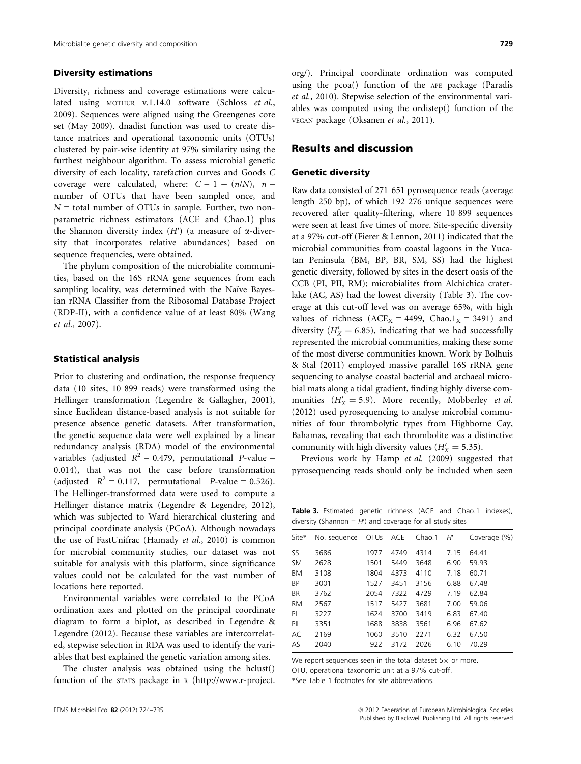## Diversity estimations

Diversity, richness and coverage estimations were calculated using MOTHUR v.1.14.0 software (Schloss et al., 2009). Sequences were aligned using the Greengenes core set (May 2009). dnadist function was used to create distance matrices and operational taxonomic units (OTUs) clustered by pair-wise identity at 97% similarity using the furthest neighbour algorithm. To assess microbial genetic diversity of each locality, rarefaction curves and Goods C coverage were calculated, where:  $C = 1 - (n/N)$ ,  $n =$ number of OTUs that have been sampled once, and  $N =$  total number of OTUs in sample. Further, two nonparametric richness estimators (ACE and Chao.1) plus the Shannon diversity index  $(H')$  (a measure of  $\alpha$ -diversity that incorporates relative abundances) based on sequence frequencies, were obtained.

The phylum composition of the microbialite communities, based on the 16S rRNA gene sequences from each sampling locality, was determined with the Naïve Bayesian rRNA Classifier from the Ribosomal Database Project (RDP-II), with a confidence value of at least 80% (Wang et al., 2007).

## Statistical analysis

Prior to clustering and ordination, the response frequency data (10 sites, 10 899 reads) were transformed using the Hellinger transformation (Legendre & Gallagher, 2001), since Euclidean distance-based analysis is not suitable for presence–absence genetic datasets. After transformation, the genetic sequence data were well explained by a linear redundancy analysis (RDA) model of the environmental variables (adjusted  $R^2 = 0.479$ , permutational P-value = 0.014), that was not the case before transformation (adjusted  $R^2 = 0.117$ , permutational P-value = 0.526). The Hellinger-transformed data were used to compute a Hellinger distance matrix (Legendre & Legendre, 2012), which was subjected to Ward hierarchical clustering and principal coordinate analysis (PCoA). Although nowadays the use of FastUnifrac (Hamady et al., 2010) is common for microbial community studies, our dataset was not suitable for analysis with this platform, since significance values could not be calculated for the vast number of locations here reported.

Environmental variables were correlated to the PCoA ordination axes and plotted on the principal coordinate diagram to form a biplot, as described in Legendre & Legendre (2012). Because these variables are intercorrelated, stepwise selection in RDA was used to identify the variables that best explained the genetic variation among sites.

The cluster analysis was obtained using the hclust() function of the STATS package in <sup>R</sup> (http://www.r-project.

org/). Principal coordinate ordination was computed using the pcoa() function of the APE package (Paradis et al., 2010). Stepwise selection of the environmental variables was computed using the ordistep() function of the VEGAN package (Oksanen et al., 2011).

## Results and discussion

#### Genetic diversity

Raw data consisted of 271 651 pyrosequence reads (average length 250 bp), of which 192 276 unique sequences were recovered after quality-filtering, where 10 899 sequences were seen at least five times of more. Site-specific diversity at a 97% cut-off (Fierer & Lennon, 2011) indicated that the microbial communities from coastal lagoons in the Yucatan Peninsula (BM, BP, BR, SM, SS) had the highest genetic diversity, followed by sites in the desert oasis of the CCB (PI, PII, RM); microbialites from Alchichica craterlake (AC, AS) had the lowest diversity (Table 3). The coverage at this cut-off level was on average 65%, with high values of richness ( $ACE_X = 4499$ ,  $Chao.1_X = 3491$ ) and diversity ( $H'_X$  = 6.85), indicating that we had successfully represented the microbial communities, making these some of the most diverse communities known. Work by Bolhuis & Stal (2011) employed massive parallel 16S rRNA gene sequencing to analyse coastal bacterial and archaeal microbial mats along a tidal gradient, finding highly diverse communities ( $H'_X = 5.9$ ). More recently, Mobberley *et al.* (2012) used pyrosequencing to analyse microbial communities of four thrombolytic types from Highborne Cay, Bahamas, revealing that each thrombolite was a distinctive community with high diversity values ( $H'_X = 5.35$ ).

Previous work by Hamp et al. (2009) suggested that pyrosequencing reads should only be included when seen

Table 3. Estimated genetic richness (ACE and Chao.1 indexes), diversity (Shannon =  $H'$ ) and coverage for all study sites

| Site*     | No. sequence | <b>OTUs</b> | ACE  | Chao.1 | H'   | Coverage (%) |
|-----------|--------------|-------------|------|--------|------|--------------|
| SS        | 3686         | 1977        | 4749 | 4314   | 7.15 | 64.41        |
| <b>SM</b> | 2628         | 1501        | 5449 | 3648   | 6.90 | 59.93        |
| ВM        | 3108         | 1804        | 4373 | 4110   | 7.18 | 60.71        |
| BP        | 3001         | 1527        | 3451 | 3156   | 6.88 | 67.48        |
| <b>BR</b> | 3762         | 2054        | 7322 | 4729   | 7.19 | 62.84        |
| <b>RM</b> | 2567         | 1517        | 5427 | 3681   | 7.00 | 59.06        |
| PI        | 3227         | 1624        | 3700 | 3419   | 6.83 | 67.40        |
| PII       | 3351         | 1688        | 3838 | 3561   | 6.96 | 67.62        |
| AC        | 2169         | 1060        | 3510 | 2271   | 6.32 | 67.50        |
| AS        | 2040         | 922         | 3172 | 2026   | 6.10 | 70.29        |
|           |              |             |      |        |      |              |

We report sequences seen in the total dataset  $5\times$  or more. OTU, operational taxonomic unit at a 97% cut-off.

\*See Table 1 footnotes for site abbreviations.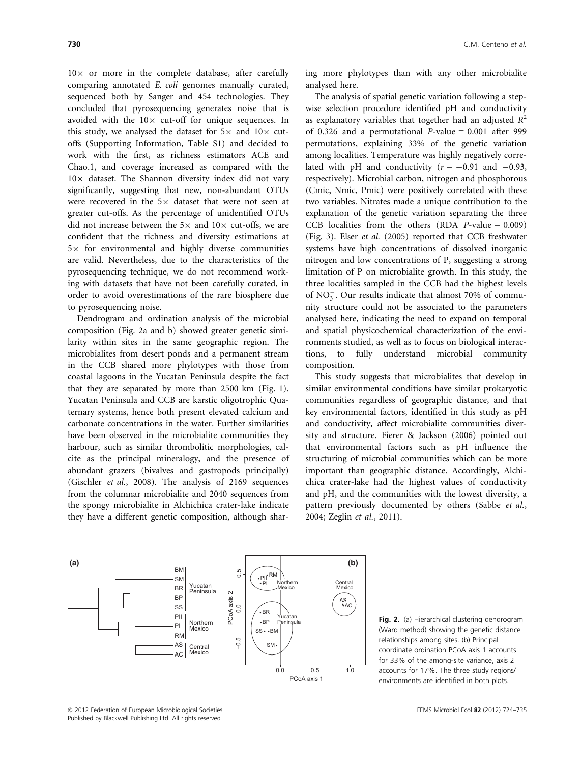$10\times$  or more in the complete database, after carefully comparing annotated E. coli genomes manually curated, sequenced both by Sanger and 454 technologies. They concluded that pyrosequencing generates noise that is avoided with the  $10\times$  cut-off for unique sequences. In this study, we analysed the dataset for  $5\times$  and  $10\times$  cutoffs (Supporting Information, Table S1) and decided to work with the first, as richness estimators ACE and Chao.1, and coverage increased as compared with the  $10\times$  dataset. The Shannon diversity index did not vary significantly, suggesting that new, non-abundant OTUs were recovered in the  $5\times$  dataset that were not seen at greater cut-offs. As the percentage of unidentified OTUs did not increase between the  $5\times$  and  $10\times$  cut-offs, we are confident that the richness and diversity estimations at  $5\times$  for environmental and highly diverse communities are valid. Nevertheless, due to the characteristics of the pyrosequencing technique, we do not recommend working with datasets that have not been carefully curated, in order to avoid overestimations of the rare biosphere due to pyrosequencing noise.

Dendrogram and ordination analysis of the microbial composition (Fig. 2a and b) showed greater genetic similarity within sites in the same geographic region. The microbialites from desert ponds and a permanent stream in the CCB shared more phylotypes with those from coastal lagoons in the Yucatan Peninsula despite the fact that they are separated by more than 2500 km (Fig. 1). Yucatan Peninsula and CCB are karstic oligotrophic Quaternary systems, hence both present elevated calcium and carbonate concentrations in the water. Further similarities have been observed in the microbialite communities they harbour, such as similar thrombolitic morphologies, calcite as the principal mineralogy, and the presence of abundant grazers (bivalves and gastropods principally) (Gischler et al., 2008). The analysis of 2169 sequences from the columnar microbialite and 2040 sequences from the spongy microbialite in Alchichica crater-lake indicate they have a different genetic composition, although shar-

ing more phylotypes than with any other microbialite analysed here.

The analysis of spatial genetic variation following a stepwise selection procedure identified pH and conductivity as explanatory variables that together had an adjusted  $R^2$ of 0.326 and a permutational  $P$ -value = 0.001 after 999 permutations, explaining 33% of the genetic variation among localities. Temperature was highly negatively correlated with pH and conductivity  $(r = -0.91$  and  $-0.93$ , respectively). Microbial carbon, nitrogen and phosphorous (Cmic, Nmic, Pmic) were positively correlated with these two variables. Nitrates made a unique contribution to the explanation of the genetic variation separating the three CCB localities from the others (RDA  $P$ -value = 0.009) (Fig. 3). Elser et al. (2005) reported that CCB freshwater systems have high concentrations of dissolved inorganic nitrogen and low concentrations of P, suggesting a strong limitation of P on microbialite growth. In this study, the three localities sampled in the CCB had the highest levels of  $NO<sub>3</sub>$ . Our results indicate that almost 70% of community structure could not be associated to the parameters analysed here, indicating the need to expand on temporal and spatial physicochemical characterization of the environments studied, as well as to focus on biological interactions, to fully understand microbial community composition.

This study suggests that microbialites that develop in similar environmental conditions have similar prokaryotic communities regardless of geographic distance, and that key environmental factors, identified in this study as pH and conductivity, affect microbialite communities diversity and structure. Fierer & Jackson (2006) pointed out that environmental factors such as pH influence the structuring of microbial communities which can be more important than geographic distance. Accordingly, Alchichica crater-lake had the highest values of conductivity and pH, and the communities with the lowest diversity, a pattern previously documented by others (Sabbe et al., 2004; Zeglin et al., 2011).



Fig. 2. (a) Hierarchical clustering dendrogram (Ward method) showing the genetic distance relationships among sites. (b) Principal coordinate ordination PCoA axis 1 accounts for 33% of the among-site variance, axis 2 accounts for 17%. The three study regions/ environments are identified in both plots.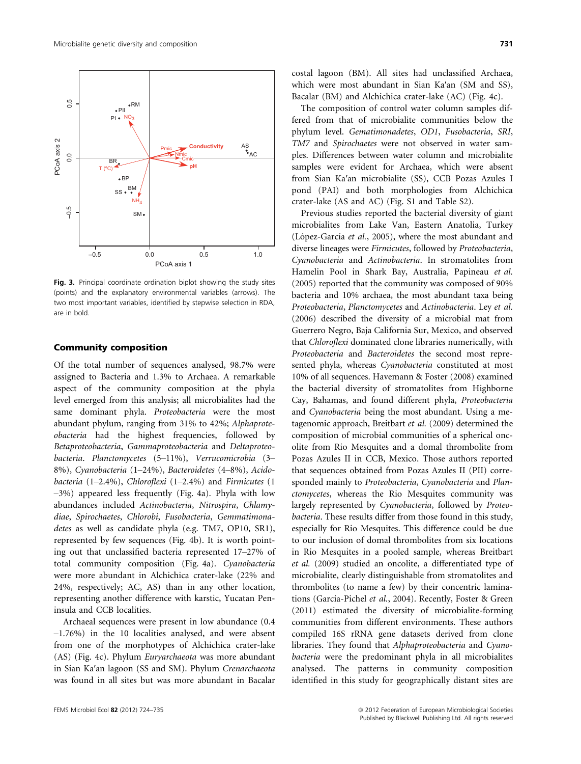



Fig. 3. Principal coordinate ordination biplot showing the study sites (points) and the explanatory environmental variables (arrows). The two most important variables, identified by stepwise selection in RDA, are in bold.

## Community composition

Of the total number of sequences analysed, 98.7% were assigned to Bacteria and 1.3% to Archaea. A remarkable aspect of the community composition at the phyla level emerged from this analysis; all microbialites had the same dominant phyla. Proteobacteria were the most abundant phylum, ranging from 31% to 42%; Alphaproteobacteria had the highest frequencies, followed by Betaproteobacteria, Gammaproteobacteria and Deltaproteobacteria. Planctomycetes (5–11%), Verrucomicrobia (3– 8%), Cyanobacteria (1–24%), Bacteroidetes (4–8%), Acidobacteria (1–2.4%), Chloroflexi (1–2.4%) and Firmicutes (1 –3%) appeared less frequently (Fig. 4a). Phyla with low abundances included Actinobacteria, Nitrospira, Chlamydiae, Spirochaetes, Chlorobi, Fusobacteria, Gemmatimonadetes as well as candidate phyla (e.g. TM7, OP10, SR1), represented by few sequences (Fig. 4b). It is worth pointing out that unclassified bacteria represented 17–27% of total community composition (Fig. 4a). Cyanobacteria were more abundant in Alchichica crater-lake (22% and 24%, respectively; AC, AS) than in any other location, representing another difference with karstic, Yucatan Peninsula and CCB localities.

Archaeal sequences were present in low abundance (0.4 –1.76%) in the 10 localities analysed, and were absent from one of the morphotypes of Alchichica crater-lake (AS) (Fig. 4c). Phylum Euryarchaeota was more abundant in Sian Ka′an lagoon (SS and SM). Phylum Crenarchaeota was found in all sites but was more abundant in Bacalar costal lagoon (BM). All sites had unclassified Archaea, which were most abundant in Sian Ka′an (SM and SS), Bacalar (BM) and Alchichica crater-lake (AC) (Fig. 4c).

The composition of control water column samples differed from that of microbialite communities below the phylum level. Gematimonadetes, OD1, Fusobacteria, SRI, TM7 and Spirochaetes were not observed in water samples. Differences between water column and microbialite samples were evident for Archaea, which were absent from Sian Ka′an microbialite (SS), CCB Pozas Azules I pond (PAI) and both morphologies from Alchichica crater-lake (AS and AC) (Fig. S1 and Table S2).

Previous studies reported the bacterial diversity of giant microbialites from Lake Van, Eastern Anatolia, Turkey (López-García et al., 2005), where the most abundant and diverse lineages were Firmicutes, followed by Proteobacteria, Cyanobacteria and Actinobacteria. In stromatolites from Hamelin Pool in Shark Bay, Australia, Papineau et al. (2005) reported that the community was composed of 90% bacteria and 10% archaea, the most abundant taxa being Proteobacteria, Planctomycetes and Actinobacteria. Ley et al. (2006) described the diversity of a microbial mat from Guerrero Negro, Baja California Sur, Mexico, and observed that Chloroflexi dominated clone libraries numerically, with Proteobacteria and Bacteroidetes the second most represented phyla, whereas Cyanobacteria constituted at most 10% of all sequences. Havemann & Foster (2008) examined the bacterial diversity of stromatolites from Highborne Cay, Bahamas, and found different phyla, Proteobacteria and Cyanobacteria being the most abundant. Using a metagenomic approach, Breitbart et al. (2009) determined the composition of microbial communities of a spherical oncolite from Rio Mesquites and a domal thrombolite from Pozas Azules II in CCB, Mexico. Those authors reported that sequences obtained from Pozas Azules II (PII) corresponded mainly to Proteobacteria, Cyanobacteria and Planctomycetes, whereas the Rio Mesquites community was largely represented by Cyanobacteria, followed by Proteobacteria. These results differ from those found in this study, especially for Rio Mesquites. This difference could be due to our inclusion of domal thrombolites from six locations in Rio Mesquites in a pooled sample, whereas Breitbart et al. (2009) studied an oncolite, a differentiated type of microbialite, clearly distinguishable from stromatolites and thrombolites (to name a few) by their concentric laminations (Garcia-Pichel et al., 2004). Recently, Foster & Green (2011) estimated the diversity of microbialite-forming communities from different environments. These authors compiled 16S rRNA gene datasets derived from clone libraries. They found that Alphaproteobacteria and Cyanobacteria were the predominant phyla in all microbialites analysed. The patterns in community composition identified in this study for geographically distant sites are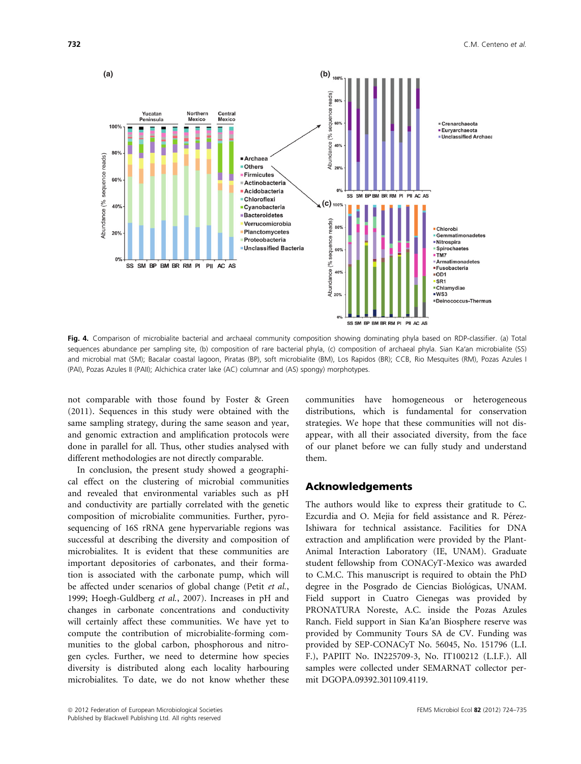

Fig. 4. Comparison of microbialite bacterial and archaeal community composition showing dominating phyla based on RDP-classifier. (a) Total sequences abundance per sampling site, (b) composition of rare bacterial phyla, (c) composition of archaeal phyla. Sian Ka'an microbialite (SS) and microbial mat (SM); Bacalar coastal lagoon, Piratas (BP), soft microbialite (BM), Los Rapidos (BR); CCB, Rio Mesquites (RM), Pozas Azules I (PAI), Pozas Azules II (PAII); Alchichica crater lake (AC) columnar and (AS) spongy) morphotypes.

not comparable with those found by Foster & Green (2011). Sequences in this study were obtained with the same sampling strategy, during the same season and year, and genomic extraction and amplification protocols were done in parallel for all. Thus, other studies analysed with different methodologies are not directly comparable.

In conclusion, the present study showed a geographical effect on the clustering of microbial communities and revealed that environmental variables such as pH and conductivity are partially correlated with the genetic composition of microbialite communities. Further, pyrosequencing of 16S rRNA gene hypervariable regions was successful at describing the diversity and composition of microbialites. It is evident that these communities are important depositories of carbonates, and their formation is associated with the carbonate pump, which will be affected under scenarios of global change (Petit et al., 1999; Hoegh-Guldberg et al., 2007). Increases in pH and changes in carbonate concentrations and conductivity will certainly affect these communities. We have yet to compute the contribution of microbialite-forming communities to the global carbon, phosphorous and nitrogen cycles. Further, we need to determine how species diversity is distributed along each locality harbouring microbialites. To date, we do not know whether these

communities have homogeneous or heterogeneous distributions, which is fundamental for conservation strategies. We hope that these communities will not disappear, with all their associated diversity, from the face of our planet before we can fully study and understand them.

## Acknowledgements

The authors would like to express their gratitude to C. Ezcurdia and O. Mejia for field assistance and R. Pérez-Ishiwara for technical assistance. Facilities for DNA extraction and amplification were provided by the Plant-Animal Interaction Laboratory (IE, UNAM). Graduate student fellowship from CONACyT-Mexico was awarded to C.M.C. This manuscript is required to obtain the PhD degree in the Posgrado de Ciencias Biológicas, UNAM. Field support in Cuatro Cienegas was provided by PRONATURA Noreste, A.C. inside the Pozas Azules Ranch. Field support in Sian Ka′an Biosphere reserve was provided by Community Tours SA de CV. Funding was provided by SEP-CONACyT No. 56045, No. 151796 (L.I. F.), PAPIIT No. IN225709-3, No. IT100212 (L.I.F.). All samples were collected under SEMARNAT collector permit DGOPA.09392.301109.4119.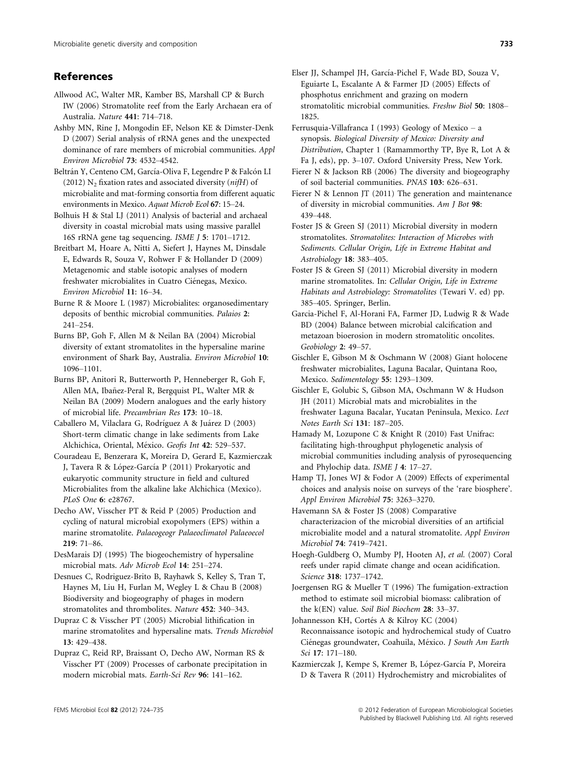## References

Allwood AC, Walter MR, Kamber BS, Marshall CP & Burch IW (2006) Stromatolite reef from the Early Archaean era of Australia. Nature 441: 714–718.

Ashby MN, Rine J, Mongodin EF, Nelson KE & Dimster-Denk D (2007) Serial analysis of rRNA genes and the unexpected dominance of rare members of microbial communities. Appl Environ Microbiol 73: 4532–4542.

Beltrán Y, Centeno CM, García-Oliva F, Legendre P & Falcón LI (2012)  $N_2$  fixation rates and associated diversity (*nifH*) of microbialite and mat-forming consortia from different aquatic environments in Mexico. Aquat Microb Ecol 67: 15–24.

Bolhuis H & Stal LJ (2011) Analysis of bacterial and archaeal diversity in coastal microbial mats using massive parallel 16S rRNA gene tag sequencing. ISME J 5: 1701–1712.

Breitbart M, Hoare A, Nitti A, Siefert J, Haynes M, Dinsdale E, Edwards R, Souza V, Rohwer F & Hollander D (2009) Metagenomic and stable isotopic analyses of modern freshwater microbialites in Cuatro Ciénegas, Mexico. Environ Microbiol 11: 16–34.

Burne R & Moore L (1987) Microbialites: organosedimentary deposits of benthic microbial communities. Palaios 2: 241–254.

Burns BP, Goh F, Allen M & Neilan BA (2004) Microbial diversity of extant stromatolites in the hypersaline marine environment of Shark Bay, Australia. Environ Microbiol 10: 1096–1101.

Burns BP, Anitori R, Butterworth P, Henneberger R, Goh F, Allen MA, Ibañez-Peral R, Bergquist PL, Walter MR & Neilan BA (2009) Modern analogues and the early history of microbial life. Precambrian Res 173: 10–18.

Caballero M, Vilaclara G, Rodríguez A & Juárez D (2003) Short-term climatic change in lake sediments from Lake Alchichica, Oriental, México. Geofis Int 42: 529-537.

Couradeau E, Benzerara K, Moreira D, Gerard E, Kazmierczak J, Tavera R & López-García P (2011) Prokaryotic and eukaryotic community structure in field and cultured Microbialites from the alkaline lake Alchichica (Mexico). PLoS One 6: e28767.

Decho AW, Visscher PT & Reid P (2005) Production and cycling of natural microbial exopolymers (EPS) within a marine stromatolite. Palaeogeogr Palaeoclimatol Palaeoecol 219: 71–86.

DesMarais DJ (1995) The biogeochemistry of hypersaline microbial mats. Adv Microb Ecol 14: 251–274.

Desnues C, Rodriguez-Brito B, Rayhawk S, Kelley S, Tran T, Haynes M, Liu H, Furlan M, Wegley L & Chau B (2008) Biodiversity and biogeography of phages in modern stromatolites and thrombolites. Nature 452: 340–343.

Dupraz C & Visscher PT (2005) Microbial lithification in marine stromatolites and hypersaline mats. Trends Microbiol 13: 429–438.

Dupraz C, Reid RP, Braissant O, Decho AW, Norman RS & Visscher PT (2009) Processes of carbonate precipitation in modern microbial mats. Earth-Sci Rev 96: 141–162.

Elser JJ, Schampel JH, García-Pichel F, Wade BD, Souza V, Eguiarte L, Escalante A & Farmer JD (2005) Effects of phosphotus enrichment and grazing on modern stromatolitic microbial communities. Freshw Biol 50: 1808– 1825.

Ferrusquia-Villafranca I (1993) Geology of Mexico – a synopsis. Biological Diversity of Mexico: Diversity and Distribution, Chapter 1 (Ramammorthy TP, Bye R, Lot A & Fa J, eds), pp. 3–107. Oxford University Press, New York.

Fierer N & Jackson RB (2006) The diversity and biogeography of soil bacterial communities. PNAS 103: 626–631.

Fierer N & Lennon JT (2011) The generation and maintenance of diversity in microbial communities. Am J Bot 98: 439–448.

Foster JS & Green SJ (2011) Microbial diversity in modern stromatolites. Stromatolites: Interaction of Microbes with Sediments. Cellular Origin, Life in Extreme Habitat and Astrobiology 18: 383–405.

Foster JS & Green SJ (2011) Microbial diversity in modern marine stromatolites. In: Cellular Origin, Life in Extreme Habitats and Astrobiology: Stromatolites (Tewari V. ed) pp. 385–405. Springer, Berlin.

Garcia-Pichel F, Al-Horani FA, Farmer JD, Ludwig R & Wade BD (2004) Balance between microbial calcification and metazoan bioerosion in modern stromatolitic oncolites. Geobiology 2: 49–57.

Gischler E, Gibson M & Oschmann W (2008) Giant holocene freshwater microbialites, Laguna Bacalar, Quintana Roo, Mexico. Sedimentology 55: 1293–1309.

Gischler E, Golubic S, Gibson MA, Oschmann W & Hudson JH (2011) Microbial mats and microbialites in the freshwater Laguna Bacalar, Yucatan Peninsula, Mexico. Lect Notes Earth Sci 131: 187–205.

Hamady M, Lozupone C & Knight R (2010) Fast Unifrac: facilitating high-throughput phylogenetic analysis of microbial communities including analysis of pyrosequencing and Phylochip data. ISME J 4: 17–27.

Hamp TJ, Jones WJ & Fodor A (2009) Effects of experimental choices and analysis noise on surveys of the 'rare biosphere'. Appl Environ Microbiol 75: 3263–3270.

Havemann SA & Foster JS (2008) Comparative characterizacion of the microbial diversities of an artificial microbialite model and a natural stromatolite. Appl Environ Microbiol 74: 7419–7421.

Hoegh-Guldberg O, Mumby PJ, Hooten AJ, et al. (2007) Coral reefs under rapid climate change and ocean acidification. Science 318: 1737–1742.

Joergensen RG & Mueller T (1996) The fumigation-extraction method to estimate soil microbial biomass: calibration of the k(EN) value. Soil Biol Biochem 28: 33–37.

Johannesson KH, Cortés A & Kilroy KC (2004) Reconnaissance isotopic and hydrochemical study of Cuatro Ciénegas groundwater, Coahuila, México. J South Am Earth Sci 17: 171–180.

Kazmierczak J, Kempe S, Kremer B, López-García P, Moreira D & Tavera R (2011) Hydrochemistry and microbialites of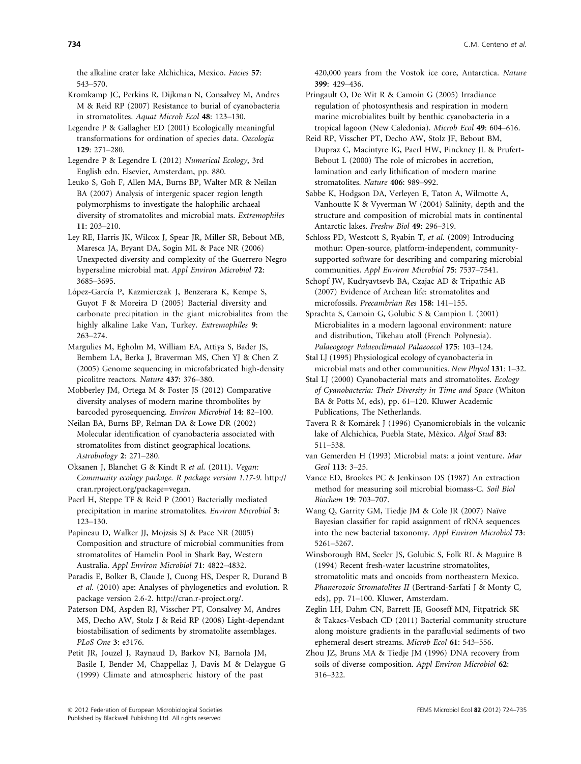the alkaline crater lake Alchichica, Mexico. Facies 57: 543–570.

Kromkamp JC, Perkins R, Dijkman N, Consalvey M, Andres M & Reid RP (2007) Resistance to burial of cyanobacteria in stromatolites. Aquat Microb Ecol 48: 123–130.

Legendre P & Gallagher ED (2001) Ecologically meaningful transformations for ordination of species data. Oecologia 129: 271–280.

Legendre P & Legendre L (2012) Numerical Ecology, 3rd English edn. Elsevier, Amsterdam, pp. 880.

Leuko S, Goh F, Allen MA, Burns BP, Walter MR & Neilan BA (2007) Analysis of intergenic spacer region length polymorphisms to investigate the halophilic archaeal diversity of stromatolites and microbial mats. Extremophiles 11: 203–210.

Ley RE, Harris JK, Wilcox J, Spear JR, Miller SR, Bebout MB, Maresca JA, Bryant DA, Sogin ML & Pace NR (2006) Unexpected diversity and complexity of the Guerrero Negro hypersaline microbial mat. Appl Environ Microbiol 72: 3685–3695.

López-García P, Kazmierczak J, Benzerara K, Kempe S, Guyot F & Moreira D (2005) Bacterial diversity and carbonate precipitation in the giant microbialites from the highly alkaline Lake Van, Turkey. Extremophiles 9: 263–274.

Margulies M, Egholm M, William EA, Attiya S, Bader JS, Bembem LA, Berka J, Braverman MS, Chen YJ & Chen Z (2005) Genome sequencing in microfabricated high-density picolitre reactors. Nature 437: 376–380.

Mobberley JM, Ortega M & Foster JS (2012) Comparative diversity analyses of modern marine thrombolites by barcoded pyrosequencing. Environ Microbiol 14: 82–100.

Neilan BA, Burns BP, Relman DA & Lowe DR (2002) Molecular identification of cyanobacteria associated with stromatolites from distinct geographical locations. Astrobiology 2: 271–280.

Oksanen J, Blanchet G & Kindt R et al. (2011). Vegan: Community ecology package. R package version 1.17-9. http:// cran.rproject.org/package=vegan.

Paerl H, Steppe TF & Reid P (2001) Bacterially mediated precipitation in marine stromatolites. Environ Microbiol 3: 123–130.

Papineau D, Walker JJ, Mojzsis SJ & Pace NR (2005) Composition and structure of microbial communities from stromatolites of Hamelin Pool in Shark Bay, Western Australia. Appl Environ Microbiol 71: 4822–4832.

Paradis E, Bolker B, Claude J, Cuong HS, Desper R, Durand B et al. (2010) ape: Analyses of phylogenetics and evolution. R package version 2.6-2. http://cran.r-project.org/.

Paterson DM, Aspden RJ, Visscher PT, Consalvey M, Andres MS, Decho AW, Stolz J & Reid RP (2008) Light-dependant biostabilisation of sediments by stromatolite assemblages. PLoS One 3: e3176.

Petit JR, Jouzel J, Raynaud D, Barkov NI, Barnola JM, Basile I, Bender M, Chappellaz J, Davis M & Delaygue G (1999) Climate and atmospheric history of the past

420,000 years from the Vostok ice core, Antarctica. Nature 399: 429–436.

Pringault O, De Wit R & Camoin G (2005) Irradiance regulation of photosynthesis and respiration in modern marine microbialites built by benthic cyanobacteria in a tropical lagoon (New Caledonia). Microb Ecol 49: 604–616.

Reid RP, Visscher PT, Decho AW, Stolz JF, Bebout BM, Dupraz C, Macintyre IG, Paerl HW, Pinckney JL & Prufert-Bebout L (2000) The role of microbes in accretion, lamination and early lithification of modern marine stromatolites. Nature 406: 989–992.

Sabbe K, Hodgson DA, Verleyen E, Taton A, Wilmotte A, Vanhoutte K & Vyverman W (2004) Salinity, depth and the structure and composition of microbial mats in continental Antarctic lakes. Freshw Biol 49: 296–319.

Schloss PD, Westcott S, Ryabin T, et al. (2009) Introducing mothur: Open-source, platform-independent, communitysupported software for describing and comparing microbial communities. Appl Environ Microbiol 75: 7537–7541.

Schopf JW, Kudryavtsevb BA, Czajac AD & Tripathic AB (2007) Evidence of Archean life: stromatolites and microfossils. Precambrian Res 158: 141–155.

Sprachta S, Camoin G, Golubic S & Campion L (2001) Microbialites in a modern lagoonal environment: nature and distribution, Tikehau atoll (French Polynesia). Palaeogeogr Palaeoclimatol Palaeoecol 175: 103–124.

Stal LJ (1995) Physiological ecology of cyanobacteria in microbial mats and other communities. New Phytol 131: 1–32.

Stal LJ (2000) Cyanobacterial mats and stromatolites. Ecology of Cyanobacteria: Their Diversity in Time and Space (Whiton BA & Potts M, eds), pp. 61–120. Kluwer Academic Publications, The Netherlands.

Tavera R & Komárek J (1996) Cyanomicrobials in the volcanic lake of Alchichica, Puebla State, México. Algol Stud 83: 511–538.

van Gemerden H (1993) Microbial mats: a joint venture. Mar Geol 113: 3–25.

Vance ED, Brookes PC & Jenkinson DS (1987) An extraction method for measuring soil microbial biomass-C. Soil Biol Biochem 19: 703–707.

Wang Q, Garrity GM, Tiedje JM & Cole JR (2007) Naïve Bayesian classifier for rapid assignment of rRNA sequences into the new bacterial taxonomy. Appl Environ Microbiol 73: 5261–5267.

Winsborough BM, Seeler JS, Golubic S, Folk RL & Maguire B (1994) Recent fresh-water lacustrine stromatolites, stromatolitic mats and oncoids from northeastern Mexico. Phanerozoic Stromatolites II (Bertrand-Sarfati J & Monty C, eds), pp. 71–100. Kluwer, Amsterdam.

Zeglin LH, Dahm CN, Barrett JE, Gooseff MN, Fitpatrick SK & Takacs-Vesbach CD (2011) Bacterial community structure along moisture gradients in the parafluvial sediments of two ephemeral desert streams. Microb Ecol 61: 543–556.

Zhou JZ, Bruns MA & Tiedje JM (1996) DNA recovery from soils of diverse composition. Appl Environ Microbiol 62: 316–322.